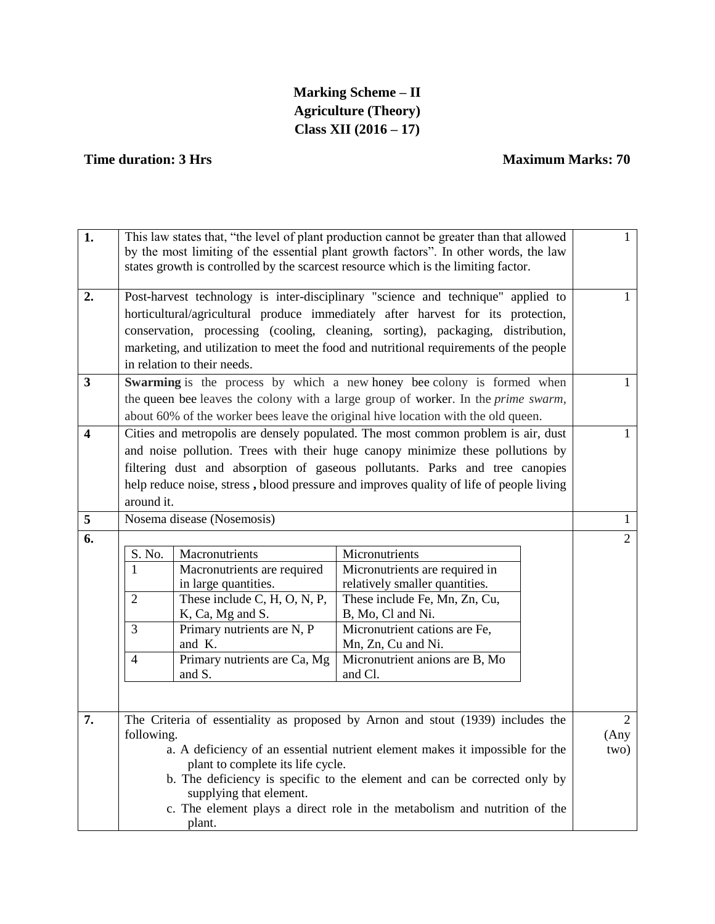# **Marking Scheme – II Agriculture (Theory) Class XII (2016 – 17)**

## **Time duration: 3 Hrs** Maximum Marks: 70

| 1.                            | This law states that, "the level of plant production cannot be greater than that allowed<br>by the most limiting of the essential plant growth factors". In other words, the law                                                                                                                                                                                                                                                                                                                                                                |                                                     |                                                                                   | $\mathbf{1}$                   |                |
|-------------------------------|-------------------------------------------------------------------------------------------------------------------------------------------------------------------------------------------------------------------------------------------------------------------------------------------------------------------------------------------------------------------------------------------------------------------------------------------------------------------------------------------------------------------------------------------------|-----------------------------------------------------|-----------------------------------------------------------------------------------|--------------------------------|----------------|
|                               | states growth is controlled by the scarcest resource which is the limiting factor.                                                                                                                                                                                                                                                                                                                                                                                                                                                              |                                                     |                                                                                   |                                |                |
| 2.<br>$\overline{\mathbf{3}}$ | Post-harvest technology is inter-disciplinary "science and technique" applied to<br>horticultural/agricultural produce immediately after harvest for its protection,<br>conservation, processing (cooling, cleaning, sorting), packaging, distribution,<br>marketing, and utilization to meet the food and nutritional requirements of the people<br>in relation to their needs.<br>Swarming is the process by which a new honey bee colony is formed when<br>the queen bee leaves the colony with a large group of worker. In the prime swarm, |                                                     |                                                                                   | 1<br>1                         |                |
|                               |                                                                                                                                                                                                                                                                                                                                                                                                                                                                                                                                                 |                                                     | about 60% of the worker bees leave the original hive location with the old queen. |                                |                |
| 4                             | Cities and metropolis are densely populated. The most common problem is air, dust<br>and noise pollution. Trees with their huge canopy minimize these pollutions by<br>filtering dust and absorption of gaseous pollutants. Parks and tree canopies<br>help reduce noise, stress, blood pressure and improves quality of life of people living<br>around it.                                                                                                                                                                                    |                                                     |                                                                                   | 1                              |                |
| 5                             |                                                                                                                                                                                                                                                                                                                                                                                                                                                                                                                                                 | Nosema disease (Nosemosis)                          |                                                                                   |                                | 1              |
| 6.                            |                                                                                                                                                                                                                                                                                                                                                                                                                                                                                                                                                 |                                                     |                                                                                   |                                | $\overline{2}$ |
|                               | S. No.                                                                                                                                                                                                                                                                                                                                                                                                                                                                                                                                          | Macronutrients                                      | Micronutrients                                                                    |                                |                |
|                               | 1                                                                                                                                                                                                                                                                                                                                                                                                                                                                                                                                               | Macronutrients are required<br>in large quantities. | Micronutrients are required in<br>relatively smaller quantities.                  |                                |                |
|                               | $\overline{2}$                                                                                                                                                                                                                                                                                                                                                                                                                                                                                                                                  | These include C, H, O, N, P,<br>K, Ca, Mg and S.    | These include Fe, Mn, Zn, Cu,<br>B, Mo, Cl and Ni.                                |                                |                |
|                               | 3                                                                                                                                                                                                                                                                                                                                                                                                                                                                                                                                               | Primary nutrients are N, P<br>and K.                | Micronutrient cations are Fe,<br>Mn, Zn, Cu and Ni.                               |                                |                |
|                               | $\overline{4}$                                                                                                                                                                                                                                                                                                                                                                                                                                                                                                                                  | Primary nutrients are Ca, Mg<br>and S.              | Micronutrient anions are B, Mo<br>and Cl.                                         |                                |                |
|                               |                                                                                                                                                                                                                                                                                                                                                                                                                                                                                                                                                 |                                                     |                                                                                   |                                |                |
| 7.                            | The Criteria of essentiality as proposed by Arnon and stout (1939) includes the<br>following.<br>a. A deficiency of an essential nutrient element makes it impossible for the<br>plant to complete its life cycle.<br>b. The deficiency is specific to the element and can be corrected only by<br>supplying that element.<br>c. The element plays a direct role in the metabolism and nutrition of the                                                                                                                                         |                                                     |                                                                                   | $\overline{2}$<br>(Any<br>two) |                |
|                               | plant.                                                                                                                                                                                                                                                                                                                                                                                                                                                                                                                                          |                                                     |                                                                                   |                                |                |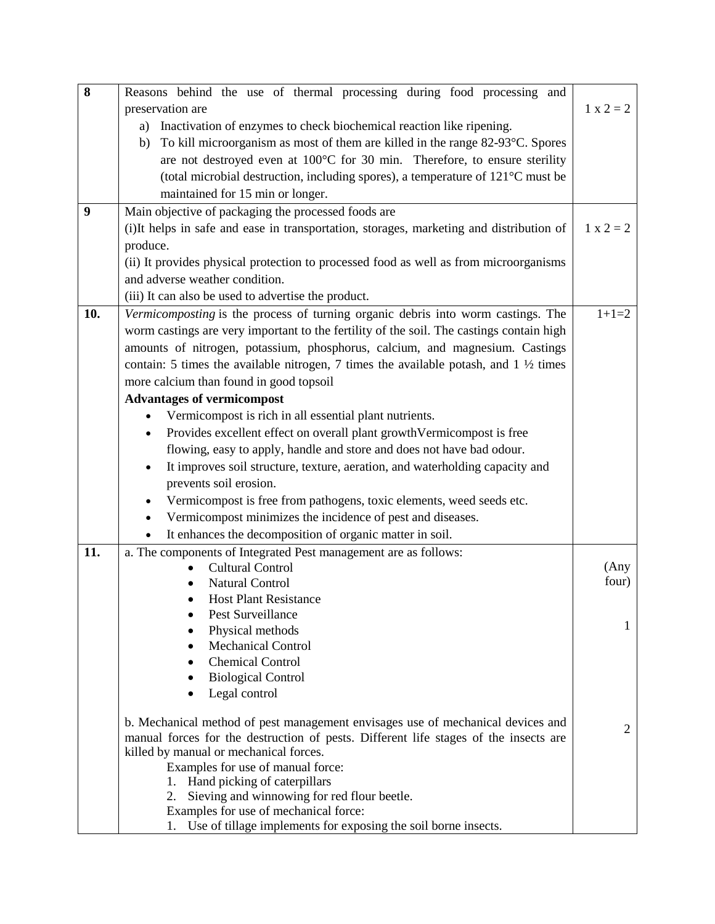| 8   | Reasons behind the use of thermal processing during food processing and                          |                |
|-----|--------------------------------------------------------------------------------------------------|----------------|
|     | preservation are                                                                                 | $1 x 2 = 2$    |
|     | a) Inactivation of enzymes to check biochemical reaction like ripening.                          |                |
|     | b) To kill microorganism as most of them are killed in the range 82-93°C. Spores                 |                |
|     | are not destroyed even at 100°C for 30 min. Therefore, to ensure sterility                       |                |
|     | (total microbial destruction, including spores), a temperature of 121°C must be                  |                |
|     | maintained for 15 min or longer.                                                                 |                |
| 9   | Main objective of packaging the processed foods are                                              |                |
|     | (i)It helps in safe and ease in transportation, storages, marketing and distribution of          | $1 x 2 = 2$    |
|     | produce.                                                                                         |                |
|     | (ii) It provides physical protection to processed food as well as from microorganisms            |                |
|     | and adverse weather condition.                                                                   |                |
|     | (iii) It can also be used to advertise the product.                                              |                |
| 10. | Vermicomposting is the process of turning organic debris into worm castings. The                 | $1+1=2$        |
|     | worm castings are very important to the fertility of the soil. The castings contain high         |                |
|     | amounts of nitrogen, potassium, phosphorus, calcium, and magnesium. Castings                     |                |
|     | contain: 5 times the available nitrogen, 7 times the available potash, and $1 \frac{1}{2}$ times |                |
|     | more calcium than found in good topsoil                                                          |                |
|     | <b>Advantages of vermicompost</b>                                                                |                |
|     | Vermicompost is rich in all essential plant nutrients.                                           |                |
|     | Provides excellent effect on overall plant growth Vermicompost is free                           |                |
|     | flowing, easy to apply, handle and store and does not have bad odour.                            |                |
|     | It improves soil structure, texture, aeration, and waterholding capacity and                     |                |
|     | prevents soil erosion.                                                                           |                |
|     | Vermicompost is free from pathogens, toxic elements, weed seeds etc.                             |                |
|     | Vermicompost minimizes the incidence of pest and diseases.                                       |                |
|     | It enhances the decomposition of organic matter in soil.                                         |                |
| 11. | a. The components of Integrated Pest management are as follows:                                  |                |
|     | <b>Cultural Control</b>                                                                          | (Any           |
|     | <b>Natural Control</b>                                                                           | four)          |
|     | <b>Host Plant Resistance</b>                                                                     |                |
|     | Pest Surveillance                                                                                |                |
|     | Physical methods                                                                                 | 1              |
|     | <b>Mechanical Control</b>                                                                        |                |
|     | <b>Chemical Control</b><br>٠                                                                     |                |
|     | <b>Biological Control</b>                                                                        |                |
|     | Legal control                                                                                    |                |
|     | b. Mechanical method of pest management envisages use of mechanical devices and                  |                |
|     | manual forces for the destruction of pests. Different life stages of the insects are             | $\overline{2}$ |
|     | killed by manual or mechanical forces.                                                           |                |
|     | Examples for use of manual force:                                                                |                |
|     | Hand picking of caterpillars<br>1.                                                               |                |
|     | Sieving and winnowing for red flour beetle.<br>2.<br>Examples for use of mechanical force:       |                |
|     | 1. Use of tillage implements for exposing the soil borne insects.                                |                |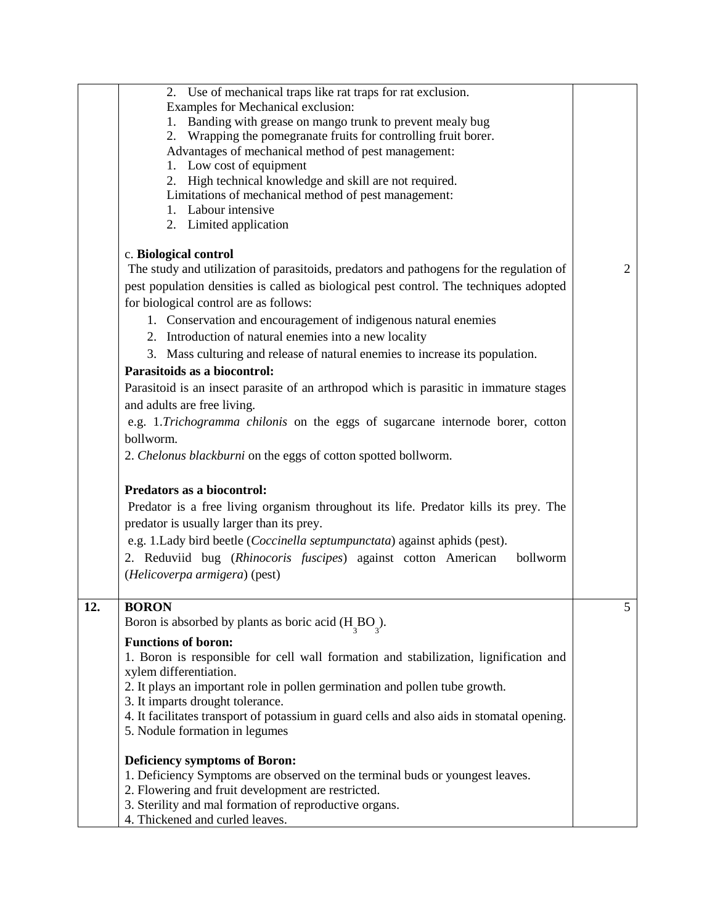|     | 2. Use of mechanical traps like rat traps for rat exclusion.<br>Examples for Mechanical exclusion:<br>Banding with grease on mango trunk to prevent mealy bug<br>1.<br>Wrapping the pomegranate fruits for controlling fruit borer.<br>2.<br>Advantages of mechanical method of pest management:<br>1. Low cost of equipment<br>2. High technical knowledge and skill are not required.<br>Limitations of mechanical method of pest management:<br>Labour intensive<br>$1_{-}$<br>2. Limited application |                |
|-----|----------------------------------------------------------------------------------------------------------------------------------------------------------------------------------------------------------------------------------------------------------------------------------------------------------------------------------------------------------------------------------------------------------------------------------------------------------------------------------------------------------|----------------|
|     | c. Biological control<br>The study and utilization of parasitoids, predators and pathogens for the regulation of                                                                                                                                                                                                                                                                                                                                                                                         | $\overline{2}$ |
|     | pest population densities is called as biological pest control. The techniques adopted<br>for biological control are as follows:                                                                                                                                                                                                                                                                                                                                                                         |                |
|     | 1. Conservation and encouragement of indigenous natural enemies                                                                                                                                                                                                                                                                                                                                                                                                                                          |                |
|     | 2. Introduction of natural enemies into a new locality<br>3. Mass culturing and release of natural enemies to increase its population.                                                                                                                                                                                                                                                                                                                                                                   |                |
|     | Parasitoids as a biocontrol:                                                                                                                                                                                                                                                                                                                                                                                                                                                                             |                |
|     | Parasitoid is an insect parasite of an arthropod which is parasitic in immature stages                                                                                                                                                                                                                                                                                                                                                                                                                   |                |
|     | and adults are free living.<br>e.g. 1.Trichogramma chilonis on the eggs of sugarcane internode borer, cotton                                                                                                                                                                                                                                                                                                                                                                                             |                |
|     | bollworm.                                                                                                                                                                                                                                                                                                                                                                                                                                                                                                |                |
|     | 2. Chelonus blackburni on the eggs of cotton spotted bollworm.                                                                                                                                                                                                                                                                                                                                                                                                                                           |                |
|     | Predators as a biocontrol:<br>Predator is a free living organism throughout its life. Predator kills its prey. The<br>predator is usually larger than its prey.<br>e.g. 1.Lady bird beetle (Coccinella septumpunctata) against aphids (pest).<br>2. Reduviid bug (Rhinocoris fuscipes) against cotton American<br>bollworm<br>(Helicoverpa armigera) (pest)                                                                                                                                              |                |
| 12. | <b>BORON</b><br>Boron is absorbed by plants as boric acid $(H_{\alpha}BO_{\alpha})$ .                                                                                                                                                                                                                                                                                                                                                                                                                    | 5              |
|     | <b>Functions of boron:</b><br>1. Boron is responsible for cell wall formation and stabilization, lignification and<br>xylem differentiation.<br>2. It plays an important role in pollen germination and pollen tube growth.<br>3. It imparts drought tolerance.<br>4. It facilitates transport of potassium in guard cells and also aids in stomatal opening.<br>5. Nodule formation in legumes                                                                                                          |                |
|     | Deficiency symptoms of Boron:<br>1. Deficiency Symptoms are observed on the terminal buds or youngest leaves.<br>2. Flowering and fruit development are restricted.<br>3. Sterility and mal formation of reproductive organs.<br>4. Thickened and curled leaves.                                                                                                                                                                                                                                         |                |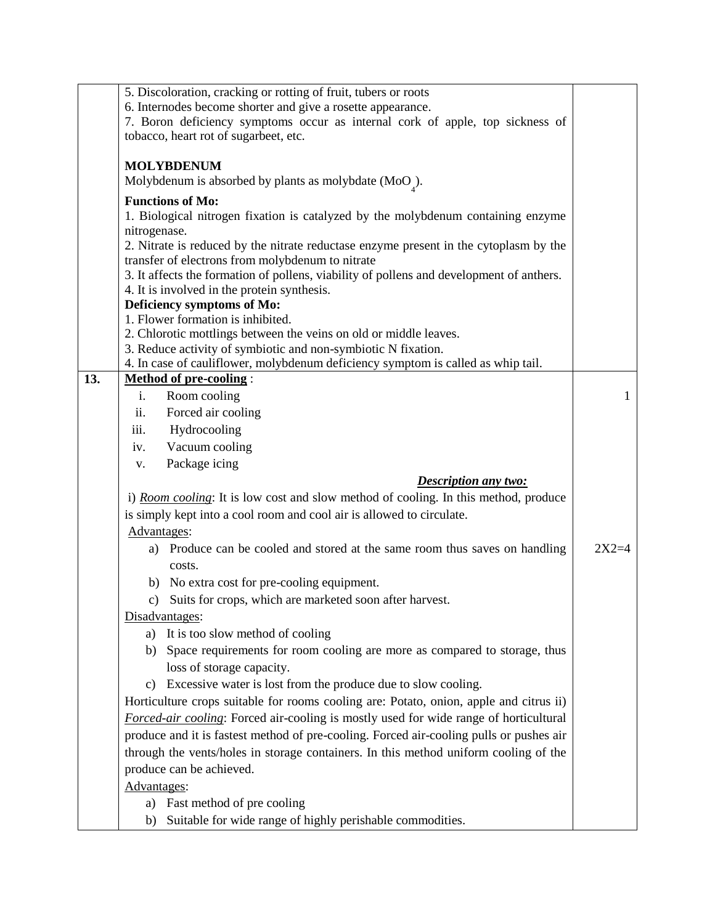|     | 5. Discoloration, cracking or rotting of fruit, tubers or roots                                                   |         |  |
|-----|-------------------------------------------------------------------------------------------------------------------|---------|--|
|     | 6. Internodes become shorter and give a rosette appearance.                                                       |         |  |
|     | 7. Boron deficiency symptoms occur as internal cork of apple, top sickness of                                     |         |  |
|     | tobacco, heart rot of sugarbeet, etc.                                                                             |         |  |
|     | <b>MOLYBDENUM</b>                                                                                                 |         |  |
|     | Molybdenum is absorbed by plants as molybdate $(Moo)$ .                                                           |         |  |
|     |                                                                                                                   |         |  |
|     | <b>Functions of Mo:</b><br>1. Biological nitrogen fixation is catalyzed by the molybdenum containing enzyme       |         |  |
|     | nitrogenase.                                                                                                      |         |  |
|     | 2. Nitrate is reduced by the nitrate reductase enzyme present in the cytoplasm by the                             |         |  |
|     | transfer of electrons from molybdenum to nitrate                                                                  |         |  |
|     | 3. It affects the formation of pollens, viability of pollens and development of anthers.                          |         |  |
|     | 4. It is involved in the protein synthesis.                                                                       |         |  |
|     | Deficiency symptoms of Mo:                                                                                        |         |  |
|     | 1. Flower formation is inhibited.                                                                                 |         |  |
|     | 2. Chlorotic mottlings between the veins on old or middle leaves.                                                 |         |  |
|     | 3. Reduce activity of symbiotic and non-symbiotic N fixation.                                                     |         |  |
| 13. | 4. In case of cauliflower, molybdenum deficiency symptom is called as whip tail.<br><b>Method of pre-cooling:</b> |         |  |
|     | Room cooling<br>i.                                                                                                | 1       |  |
|     | Forced air cooling<br>ii.                                                                                         |         |  |
|     | Hydrocooling<br>iii.                                                                                              |         |  |
|     | Vacuum cooling                                                                                                    |         |  |
|     | iv.                                                                                                               |         |  |
|     | Package icing<br>V.                                                                                               |         |  |
|     | <b>Description any two:</b>                                                                                       |         |  |
|     | i) Room cooling: It is low cost and slow method of cooling. In this method, produce                               |         |  |
|     | is simply kept into a cool room and cool air is allowed to circulate.                                             |         |  |
|     | Advantages:                                                                                                       |         |  |
|     | Produce can be cooled and stored at the same room thus saves on handling<br>a)                                    | $2X2=4$ |  |
|     | costs.                                                                                                            |         |  |
|     | b) No extra cost for pre-cooling equipment.                                                                       |         |  |
|     | Suits for crops, which are marketed soon after harvest.<br>c)                                                     |         |  |
|     | Disadvantages:                                                                                                    |         |  |
|     | It is too slow method of cooling<br>a)                                                                            |         |  |
|     | Space requirements for room cooling are more as compared to storage, thus<br>b)                                   |         |  |
|     | loss of storage capacity.                                                                                         |         |  |
|     | Excessive water is lost from the produce due to slow cooling.<br>c)                                               |         |  |
|     | Horticulture crops suitable for rooms cooling are: Potato, onion, apple and citrus ii)                            |         |  |
|     | Forced-air cooling: Forced air-cooling is mostly used for wide range of horticultural                             |         |  |
|     | produce and it is fastest method of pre-cooling. Forced air-cooling pulls or pushes air                           |         |  |
|     | through the vents/holes in storage containers. In this method uniform cooling of the                              |         |  |
|     | produce can be achieved.                                                                                          |         |  |
|     | Advantages:                                                                                                       |         |  |
|     | a) Fast method of pre cooling                                                                                     |         |  |
|     | Suitable for wide range of highly perishable commodities.<br>b)                                                   |         |  |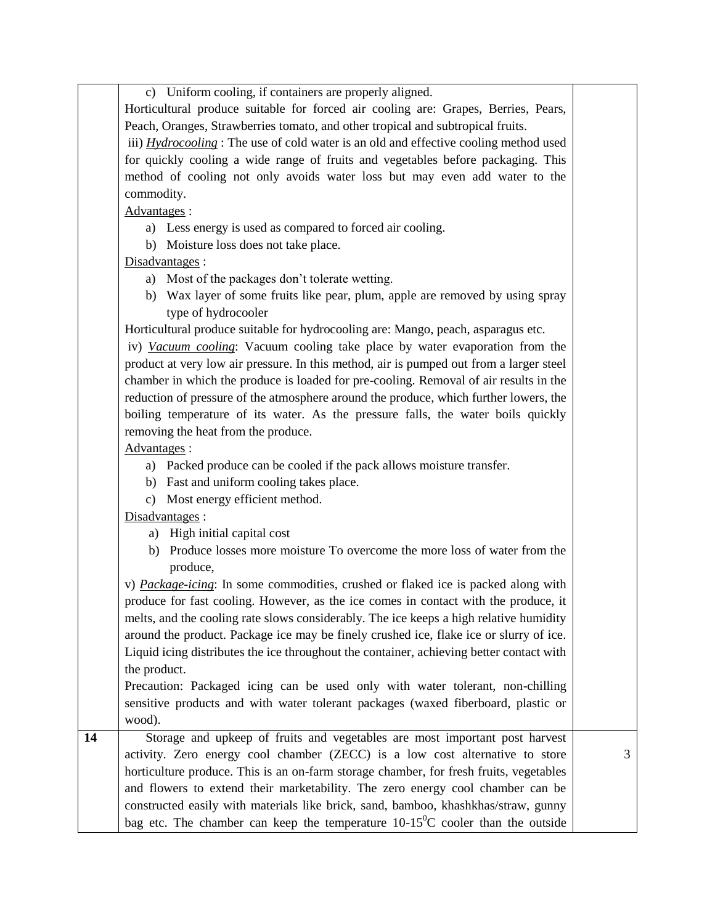|                 | c) Uniform cooling, if containers are properly aligned.                                      |   |
|-----------------|----------------------------------------------------------------------------------------------|---|
|                 | Horticultural produce suitable for forced air cooling are: Grapes, Berries, Pears,           |   |
|                 | Peach, Oranges, Strawberries tomato, and other tropical and subtropical fruits.              |   |
|                 | iii) <i>Hydrocooling</i> : The use of cold water is an old and effective cooling method used |   |
|                 | for quickly cooling a wide range of fruits and vegetables before packaging. This             |   |
|                 | method of cooling not only avoids water loss but may even add water to the                   |   |
|                 | commodity.                                                                                   |   |
|                 | Advantages:                                                                                  |   |
|                 | a) Less energy is used as compared to forced air cooling.                                    |   |
|                 | b) Moisture loss does not take place.                                                        |   |
|                 | Disadvantages:                                                                               |   |
|                 | a) Most of the packages don't tolerate wetting.                                              |   |
|                 | b) Wax layer of some fruits like pear, plum, apple are removed by using spray                |   |
|                 | type of hydrocooler                                                                          |   |
|                 | Horticultural produce suitable for hydrocooling are: Mango, peach, asparagus etc.            |   |
|                 | iv) Vacuum cooling: Vacuum cooling take place by water evaporation from the                  |   |
|                 | product at very low air pressure. In this method, air is pumped out from a larger steel      |   |
|                 | chamber in which the produce is loaded for pre-cooling. Removal of air results in the        |   |
|                 | reduction of pressure of the atmosphere around the produce, which further lowers, the        |   |
|                 | boiling temperature of its water. As the pressure falls, the water boils quickly             |   |
|                 | removing the heat from the produce.                                                          |   |
|                 | Advantages:                                                                                  |   |
|                 | a) Packed produce can be cooled if the pack allows moisture transfer.                        |   |
|                 | b) Fast and uniform cooling takes place.                                                     |   |
|                 | c) Most energy efficient method.                                                             |   |
|                 | Disadvantages:                                                                               |   |
|                 | a) High initial capital cost                                                                 |   |
|                 | b) Produce losses more moisture To overcome the more loss of water from the                  |   |
|                 | produce,                                                                                     |   |
|                 | v) Package-icing: In some commodities, crushed or flaked ice is packed along with            |   |
|                 | produce for fast cooling. However, as the ice comes in contact with the produce, it          |   |
|                 | melts, and the cooling rate slows considerably. The ice keeps a high relative humidity       |   |
|                 | around the product. Package ice may be finely crushed ice, flake ice or slurry of ice.       |   |
|                 | Liquid icing distributes the ice throughout the container, achieving better contact with     |   |
|                 | the product.                                                                                 |   |
|                 | Precaution: Packaged icing can be used only with water tolerant, non-chilling                |   |
|                 | sensitive products and with water tolerant packages (waxed fiberboard, plastic or            |   |
|                 | wood).                                                                                       |   |
| $\overline{14}$ | Storage and upkeep of fruits and vegetables are most important post harvest                  |   |
|                 | activity. Zero energy cool chamber (ZECC) is a low cost alternative to store                 | 3 |
|                 | horticulture produce. This is an on-farm storage chamber, for fresh fruits, vegetables       |   |
|                 | and flowers to extend their marketability. The zero energy cool chamber can be               |   |
|                 | constructed easily with materials like brick, sand, bamboo, khashkhas/straw, gunny           |   |
|                 | bag etc. The chamber can keep the temperature $10-15^{\circ}$ C cooler than the outside      |   |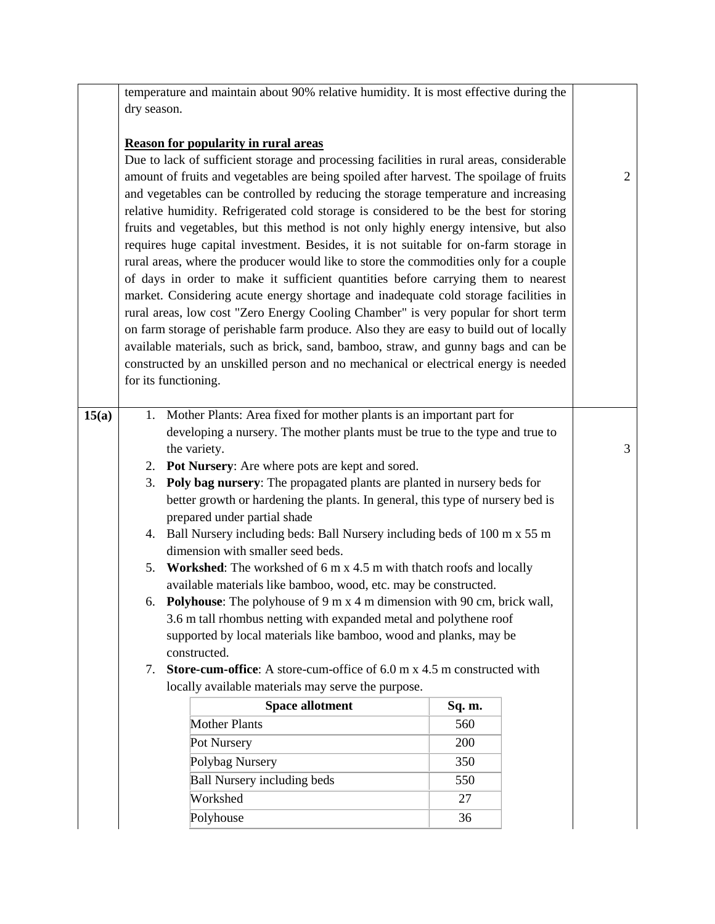temperature and maintain about 90% relative humidity. It is most effective during the dry season.

## **Reason for popularity in rural areas**

Due to lack of sufficient storage and processing facilities in rural areas, considerable amount of fruits and vegetables are being spoiled after harvest. The spoilage of fruits and vegetables can be controlled by reducing the storage temperature and increasing relative humidity. Refrigerated cold storage is considered to be the best for storing fruits and vegetables, but this method is not only highly energy intensive, but also requires huge capital investment. Besides, it is not suitable for on-farm storage in rural areas, where the producer would like to store the commodities only for a couple of days in order to make it sufficient quantities before carrying them to nearest market. Considering acute energy shortage and inadequate cold storage facilities in rural areas, low cost "Zero Energy Cooling Chamber" is very popular for short term on farm storage of perishable farm produce. Also they are easy to build out of locally available materials, such as brick, sand, bamboo, straw, and gunny bags and can be constructed by an unskilled person and no mechanical or electrical energy is needed for its functioning.

2

| 15(a) |    | 1. Mother Plants: Area fixed for mother plants is an important part for                                      |        |  |  |  |  |
|-------|----|--------------------------------------------------------------------------------------------------------------|--------|--|--|--|--|
|       |    | developing a nursery. The mother plants must be true to the type and true to                                 |        |  |  |  |  |
|       |    | the variety.                                                                                                 |        |  |  |  |  |
|       |    | 2. Pot Nursery: Are where pots are kept and sored.                                                           |        |  |  |  |  |
|       |    | 3. Poly bag nursery: The propagated plants are planted in nursery beds for                                   |        |  |  |  |  |
|       |    | better growth or hardening the plants. In general, this type of nursery bed is                               |        |  |  |  |  |
|       |    | prepared under partial shade                                                                                 |        |  |  |  |  |
|       |    | 4. Ball Nursery including beds: Ball Nursery including beds of 100 m x 55 m                                  |        |  |  |  |  |
|       |    | dimension with smaller seed beds.                                                                            |        |  |  |  |  |
|       |    | 5. Workshed: The workshed of 6 m x 4.5 m with thatch roofs and locally                                       |        |  |  |  |  |
|       |    | available materials like bamboo, wood, etc. may be constructed.                                              |        |  |  |  |  |
|       |    | 6. Polyhouse: The polyhouse of $9 \text{ m} \times 4 \text{ m}$ dimension with $90 \text{ cm}$ , brick wall, |        |  |  |  |  |
|       |    | 3.6 m tall rhombus netting with expanded metal and polythene roof                                            |        |  |  |  |  |
|       |    | supported by local materials like bamboo, wood and planks, may be                                            |        |  |  |  |  |
|       |    | constructed.                                                                                                 |        |  |  |  |  |
|       | 7. | Store-cum-office: A store-cum-office of 6.0 m x 4.5 m constructed with                                       |        |  |  |  |  |
|       |    | locally available materials may serve the purpose.                                                           |        |  |  |  |  |
|       |    | <b>Space allotment</b>                                                                                       | Sq. m. |  |  |  |  |
|       |    | <b>Mother Plants</b>                                                                                         | 560    |  |  |  |  |
|       |    | Pot Nursery                                                                                                  | 200    |  |  |  |  |
|       |    |                                                                                                              |        |  |  |  |  |
|       |    | Polybag Nursery                                                                                              | 350    |  |  |  |  |
|       |    | <b>Ball Nursery including beds</b>                                                                           | 550    |  |  |  |  |
|       |    | Workshed                                                                                                     | 27     |  |  |  |  |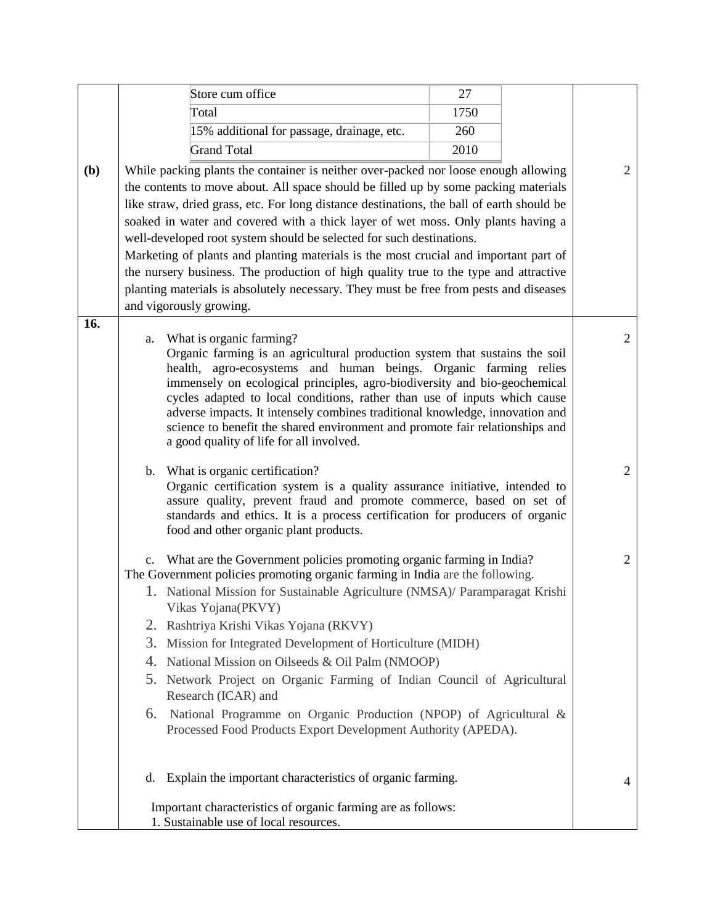|     |    | Store cum office                                                                                                                                    | 27   |                |
|-----|----|-----------------------------------------------------------------------------------------------------------------------------------------------------|------|----------------|
|     |    | Total                                                                                                                                               | 1750 |                |
|     |    | 15% additional for passage, drainage, etc.                                                                                                          | 260  |                |
|     |    | <b>Grand Total</b>                                                                                                                                  | 2010 |                |
| (b) |    | While packing plants the container is neither over-packed nor loose enough allowing                                                                 |      | $\overline{2}$ |
|     |    | the contents to move about. All space should be filled up by some packing materials                                                                 |      |                |
|     |    | like straw, dried grass, etc. For long distance destinations, the ball of earth should be                                                           |      |                |
|     |    | soaked in water and covered with a thick layer of wet moss. Only plants having a                                                                    |      |                |
|     |    | well-developed root system should be selected for such destinations.                                                                                |      |                |
|     |    | Marketing of plants and planting materials is the most crucial and important part of                                                                |      |                |
|     |    | the nursery business. The production of high quality true to the type and attractive                                                                |      |                |
|     |    | planting materials is absolutely necessary. They must be free from pests and diseases                                                               |      |                |
|     |    | and vigorously growing.                                                                                                                             |      |                |
| 16. |    |                                                                                                                                                     |      |                |
|     | a. | What is organic farming?<br>Organic farming is an agricultural production system that sustains the soil                                             |      | $\overline{2}$ |
|     |    | health, agro-ecosystems and human beings. Organic farming relies                                                                                    |      |                |
|     |    | immensely on ecological principles, agro-biodiversity and bio-geochemical                                                                           |      |                |
|     |    | cycles adapted to local conditions, rather than use of inputs which cause                                                                           |      |                |
|     |    | adverse impacts. It intensely combines traditional knowledge, innovation and                                                                        |      |                |
|     |    | science to benefit the shared environment and promote fair relationships and<br>a good quality of life for all involved.                            |      |                |
|     |    |                                                                                                                                                     |      |                |
|     |    | b. What is organic certification?                                                                                                                   |      | $\overline{2}$ |
|     |    | Organic certification system is a quality assurance initiative, intended to                                                                         |      |                |
|     |    | assure quality, prevent fraud and promote commerce, based on set of<br>standards and ethics. It is a process certification for producers of organic |      |                |
|     |    | food and other organic plant products.                                                                                                              |      |                |
|     |    |                                                                                                                                                     |      |                |
|     |    | c. What are the Government policies promoting organic farming in India?                                                                             |      | $\overline{2}$ |
|     |    | The Government policies promoting organic farming in India are the following.                                                                       |      |                |
|     |    | 1. National Mission for Sustainable Agriculture (NMSA)/ Paramparagat Krishi<br>Vikas Yojana(PKVY)                                                   |      |                |
|     | 2. | Rashtriya Krishi Vikas Yojana (RKVY)                                                                                                                |      |                |
|     | 3. | Mission for Integrated Development of Horticulture (MIDH)                                                                                           |      |                |
|     | 4. | National Mission on Oilseeds & Oil Palm (NMOOP)                                                                                                     |      |                |
|     | 5. | Network Project on Organic Farming of Indian Council of Agricultural                                                                                |      |                |
|     |    | Research (ICAR) and                                                                                                                                 |      |                |
|     | 6. | National Programme on Organic Production (NPOP) of Agricultural &                                                                                   |      |                |
|     |    | Processed Food Products Export Development Authority (APEDA).                                                                                       |      |                |
|     |    |                                                                                                                                                     |      |                |
|     |    |                                                                                                                                                     |      |                |
|     | d. | Explain the important characteristics of organic farming.                                                                                           |      | 4              |
|     |    |                                                                                                                                                     |      |                |
|     |    | Important characteristics of organic farming are as follows:<br>1. Sustainable use of local resources.                                              |      |                |
|     |    |                                                                                                                                                     |      |                |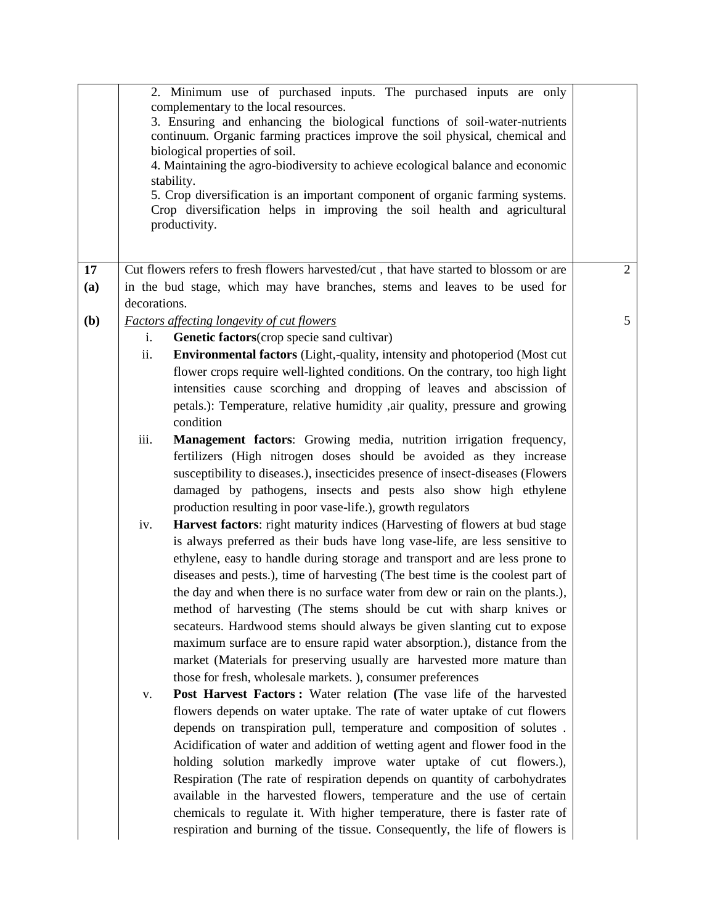|              | 2. Minimum use of purchased inputs. The purchased inputs are only<br>complementary to the local resources.<br>3. Ensuring and enhancing the biological functions of soil-water-nutrients<br>continuum. Organic farming practices improve the soil physical, chemical and<br>biological properties of soil.<br>4. Maintaining the agro-biodiversity to achieve ecological balance and economic<br>stability.<br>5. Crop diversification is an important component of organic farming systems.<br>Crop diversification helps in improving the soil health and agricultural<br>productivity. |                |
|--------------|-------------------------------------------------------------------------------------------------------------------------------------------------------------------------------------------------------------------------------------------------------------------------------------------------------------------------------------------------------------------------------------------------------------------------------------------------------------------------------------------------------------------------------------------------------------------------------------------|----------------|
| 17           | Cut flowers refers to fresh flowers harvested/cut, that have started to blossom or are                                                                                                                                                                                                                                                                                                                                                                                                                                                                                                    | $\overline{2}$ |
| (a)          | in the bud stage, which may have branches, stems and leaves to be used for<br>decorations.                                                                                                                                                                                                                                                                                                                                                                                                                                                                                                |                |
| ( <b>b</b> ) | <b>Factors affecting longevity of cut flowers</b>                                                                                                                                                                                                                                                                                                                                                                                                                                                                                                                                         | 5              |
|              | Genetic factors(crop specie sand cultivar)<br>i.                                                                                                                                                                                                                                                                                                                                                                                                                                                                                                                                          |                |
|              | ii.<br>Environmental factors (Light,-quality, intensity and photoperiod (Most cut                                                                                                                                                                                                                                                                                                                                                                                                                                                                                                         |                |
|              | flower crops require well-lighted conditions. On the contrary, too high light                                                                                                                                                                                                                                                                                                                                                                                                                                                                                                             |                |
|              | intensities cause scorching and dropping of leaves and abscission of                                                                                                                                                                                                                                                                                                                                                                                                                                                                                                                      |                |
|              | petals.): Temperature, relative humidity ,air quality, pressure and growing<br>condition                                                                                                                                                                                                                                                                                                                                                                                                                                                                                                  |                |
|              | iii.<br>Management factors: Growing media, nutrition irrigation frequency,                                                                                                                                                                                                                                                                                                                                                                                                                                                                                                                |                |
|              | fertilizers (High nitrogen doses should be avoided as they increase                                                                                                                                                                                                                                                                                                                                                                                                                                                                                                                       |                |
|              | susceptibility to diseases.), insecticides presence of insect-diseases (Flowers                                                                                                                                                                                                                                                                                                                                                                                                                                                                                                           |                |
|              | damaged by pathogens, insects and pests also show high ethylene                                                                                                                                                                                                                                                                                                                                                                                                                                                                                                                           |                |
|              | production resulting in poor vase-life.), growth regulators                                                                                                                                                                                                                                                                                                                                                                                                                                                                                                                               |                |
|              | Harvest factors: right maturity indices (Harvesting of flowers at bud stage<br>iv.                                                                                                                                                                                                                                                                                                                                                                                                                                                                                                        |                |
|              | is always preferred as their buds have long vase-life, are less sensitive to                                                                                                                                                                                                                                                                                                                                                                                                                                                                                                              |                |
|              | ethylene, easy to handle during storage and transport and are less prone to                                                                                                                                                                                                                                                                                                                                                                                                                                                                                                               |                |
|              | diseases and pests.), time of harvesting (The best time is the coolest part of                                                                                                                                                                                                                                                                                                                                                                                                                                                                                                            |                |
|              | the day and when there is no surface water from dew or rain on the plants.),                                                                                                                                                                                                                                                                                                                                                                                                                                                                                                              |                |
|              | method of harvesting (The stems should be cut with sharp knives or                                                                                                                                                                                                                                                                                                                                                                                                                                                                                                                        |                |
|              | secateurs. Hardwood stems should always be given slanting cut to expose                                                                                                                                                                                                                                                                                                                                                                                                                                                                                                                   |                |
|              | maximum surface are to ensure rapid water absorption.), distance from the                                                                                                                                                                                                                                                                                                                                                                                                                                                                                                                 |                |
|              | market (Materials for preserving usually are harvested more mature than<br>those for fresh, wholesale markets.), consumer preferences                                                                                                                                                                                                                                                                                                                                                                                                                                                     |                |
|              | Post Harvest Factors: Water relation (The vase life of the harvested<br>V.                                                                                                                                                                                                                                                                                                                                                                                                                                                                                                                |                |
|              | flowers depends on water uptake. The rate of water uptake of cut flowers                                                                                                                                                                                                                                                                                                                                                                                                                                                                                                                  |                |
|              | depends on transpiration pull, temperature and composition of solutes.                                                                                                                                                                                                                                                                                                                                                                                                                                                                                                                    |                |
|              | Acidification of water and addition of wetting agent and flower food in the                                                                                                                                                                                                                                                                                                                                                                                                                                                                                                               |                |
|              | holding solution markedly improve water uptake of cut flowers.),                                                                                                                                                                                                                                                                                                                                                                                                                                                                                                                          |                |
|              | Respiration (The rate of respiration depends on quantity of carbohydrates                                                                                                                                                                                                                                                                                                                                                                                                                                                                                                                 |                |
|              | available in the harvested flowers, temperature and the use of certain                                                                                                                                                                                                                                                                                                                                                                                                                                                                                                                    |                |
|              | chemicals to regulate it. With higher temperature, there is faster rate of                                                                                                                                                                                                                                                                                                                                                                                                                                                                                                                |                |
|              | respiration and burning of the tissue. Consequently, the life of flowers is                                                                                                                                                                                                                                                                                                                                                                                                                                                                                                               |                |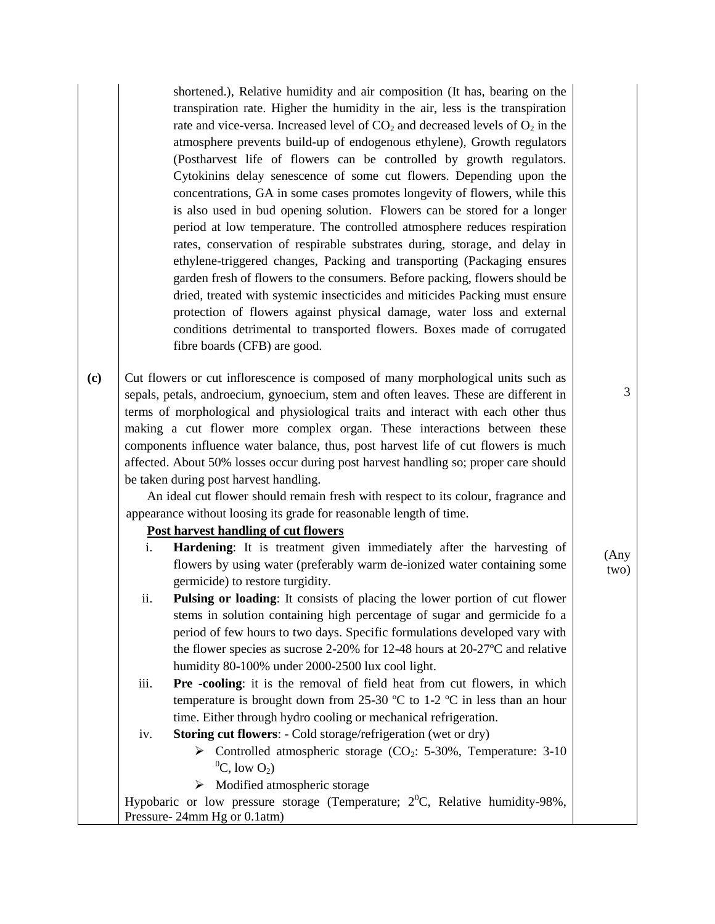shortened.), Relative humidity and air composition (It has, bearing on the transpiration rate. Higher the humidity in the air, less is the transpiration rate and vice-versa. Increased level of  $CO<sub>2</sub>$  and decreased levels of  $O<sub>2</sub>$  in the atmosphere prevents build-up of endogenous ethylene), Growth regulators (Postharvest life of flowers can be controlled by growth regulators. Cytokinins delay senescence of some cut flowers. Depending upon the concentrations, GA in some cases promotes longevity of flowers, while this is also used in bud opening solution. Flowers can be stored for a longer period at low temperature. The controlled atmosphere reduces respiration rates, conservation of respirable substrates during, storage, and delay in ethylene-triggered changes, Packing and transporting (Packaging ensures garden fresh of flowers to the consumers. Before packing, flowers should be dried, treated with systemic insecticides and miticides Packing must ensure protection of flowers against physical damage, water loss and external conditions detrimental to transported flowers. Boxes made of corrugated fibre boards (CFB) are good.

**(c)** Cut flowers or cut inflorescence is composed of many morphological units such as sepals, petals, androecium, gynoecium, stem and often leaves. These are different in terms of morphological and physiological traits and interact with each other thus making a cut flower more complex organ. These interactions between these components influence water balance, thus, post harvest life of cut flowers is much affected. About 50% losses occur during post harvest handling so; proper care should be taken during post harvest handling.

An ideal cut flower should remain fresh with respect to its colour, fragrance and appearance without loosing its grade for reasonable length of time.

### **Post harvest handling of cut flowers**

- i. **Hardening**: It is treatment given immediately after the harvesting of flowers by using water (preferably warm de-ionized water containing some germicide) to restore turgidity.
- ii. **Pulsing or loading**: It consists of placing the lower portion of cut flower stems in solution containing high percentage of sugar and germicide fo a period of few hours to two days. Specific formulations developed vary with the flower species as sucrose 2-20% for 12-48 hours at 20-27ºC and relative humidity 80-100% under 2000-2500 lux cool light.
- iii. **Pre -cooling**: it is the removal of field heat from cut flowers, in which temperature is brought down from 25-30  $\degree$ C to 1-2  $\degree$ C in less than an hour time. Either through hydro cooling or mechanical refrigeration.
- iv. **Storing cut flowers**: Cold storage/refrigeration (wet or dry)
	- $\triangleright$  Controlled atmospheric storage (CO<sub>2</sub>: 5-30%, Temperature: 3-10)  $^0C$ , low  $O_2$ )
	- $\triangleright$  Modified atmospheric storage

Hypobaric or low pressure storage (Temperature;  $2^0C$ , Relative humidity-98%, Pressure- 24mm Hg or 0.1atm)

3

#### (Any two)